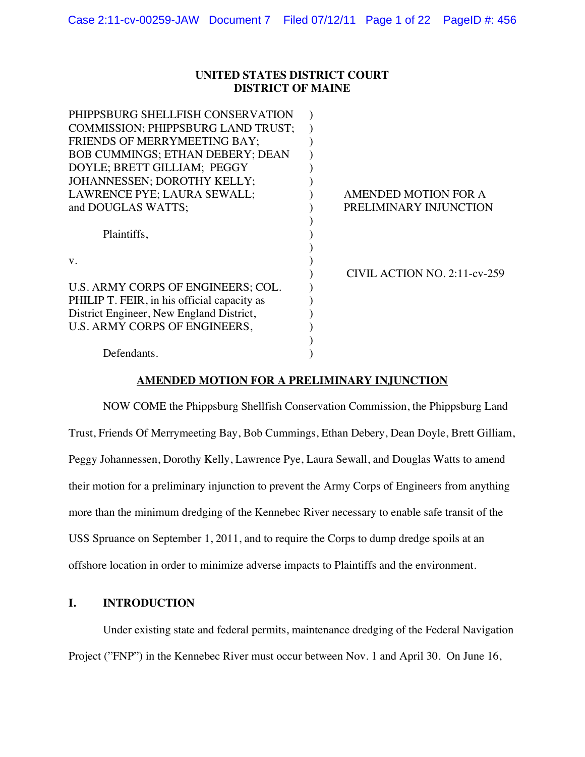### **UNITED STATES DISTRICT COURT DISTRICT OF MAINE**

| PHIPPSBURG SHELLFISH CONSERVATION           |                              |
|---------------------------------------------|------------------------------|
| <b>COMMISSION: PHIPPSBURG LAND TRUST:</b>   |                              |
| <b>FRIENDS OF MERRYMEETING BAY:</b>         |                              |
| <b>BOB CUMMINGS; ETHAN DEBERY; DEAN</b>     |                              |
| DOYLE; BRETT GILLIAM; PEGGY                 |                              |
| JOHANNESSEN; DOROTHY KELLY;                 |                              |
| LAWRENCE PYE; LAURA SEWALL;                 | AMENDED MOTION FOR A         |
| and DOUGLAS WATTS;                          | PRELIMINARY INJUNCTION       |
|                                             |                              |
| Plaintiffs,                                 |                              |
|                                             |                              |
| V.                                          |                              |
|                                             | CIVIL ACTION NO. 2:11-cv-259 |
| U.S. ARMY CORPS OF ENGINEERS; COL.          |                              |
| PHILIP T. FEIR, in his official capacity as |                              |
| District Engineer, New England District,    |                              |
| U.S. ARMY CORPS OF ENGINEERS,               |                              |
|                                             |                              |
| Defendants.                                 |                              |
|                                             |                              |

## **AMENDED MOTION FOR A PRELIMINARY INJUNCTION**

NOW COME the Phippsburg Shellfish Conservation Commission, the Phippsburg Land Trust, Friends Of Merrymeeting Bay, Bob Cummings, Ethan Debery, Dean Doyle, Brett Gilliam, Peggy Johannessen, Dorothy Kelly, Lawrence Pye, Laura Sewall, and Douglas Watts to amend their motion for a preliminary injunction to prevent the Army Corps of Engineers from anything more than the minimum dredging of the Kennebec River necessary to enable safe transit of the USS Spruance on September 1, 2011, and to require the Corps to dump dredge spoils at an offshore location in order to minimize adverse impacts to Plaintiffs and the environment.

### **I. INTRODUCTION**

Under existing state and federal permits, maintenance dredging of the Federal Navigation Project ("FNP") in the Kennebec River must occur between Nov. 1 and April 30. On June 16,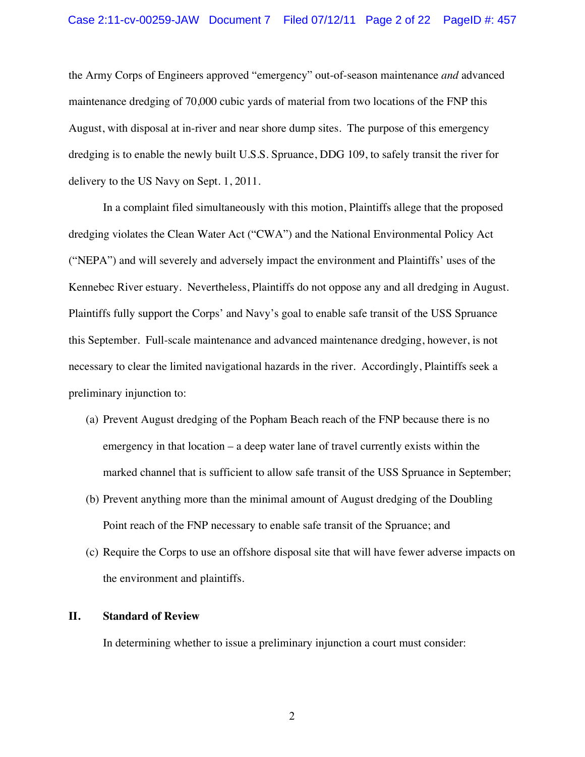the Army Corps of Engineers approved "emergency" out-of-season maintenance *and* advanced maintenance dredging of 70,000 cubic yards of material from two locations of the FNP this August, with disposal at in-river and near shore dump sites. The purpose of this emergency dredging is to enable the newly built U.S.S. Spruance, DDG 109, to safely transit the river for delivery to the US Navy on Sept. 1, 2011.

In a complaint filed simultaneously with this motion, Plaintiffs allege that the proposed dredging violates the Clean Water Act ("CWA") and the National Environmental Policy Act ("NEPA") and will severely and adversely impact the environment and Plaintiffs' uses of the Kennebec River estuary. Nevertheless, Plaintiffs do not oppose any and all dredging in August. Plaintiffs fully support the Corps' and Navy's goal to enable safe transit of the USS Spruance this September. Full-scale maintenance and advanced maintenance dredging, however, is not necessary to clear the limited navigational hazards in the river. Accordingly, Plaintiffs seek a preliminary injunction to:

- (a) Prevent August dredging of the Popham Beach reach of the FNP because there is no emergency in that location – a deep water lane of travel currently exists within the marked channel that is sufficient to allow safe transit of the USS Spruance in September;
- (b) Prevent anything more than the minimal amount of August dredging of the Doubling Point reach of the FNP necessary to enable safe transit of the Spruance; and
- (c) Require the Corps to use an offshore disposal site that will have fewer adverse impacts on the environment and plaintiffs.

#### **II. Standard of Review**

In determining whether to issue a preliminary injunction a court must consider: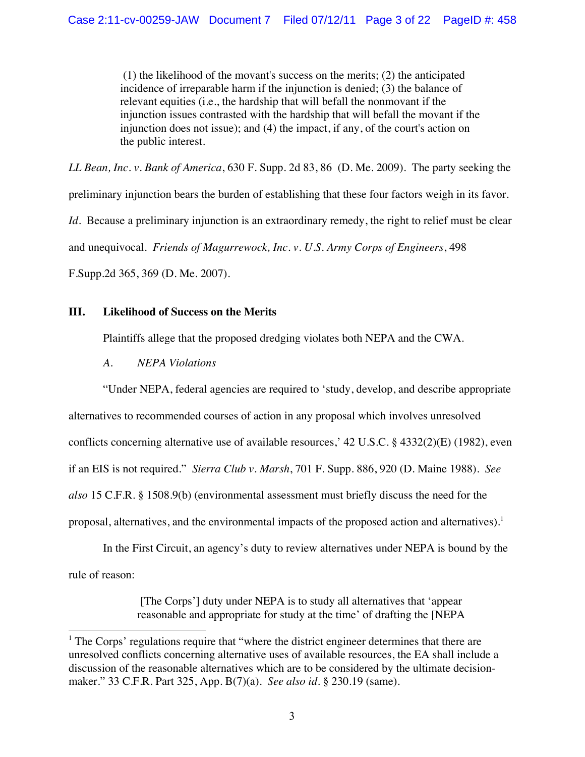(1) the likelihood of the movant's success on the merits; (2) the anticipated incidence of irreparable harm if the injunction is denied; (3) the balance of relevant equities (i.e., the hardship that will befall the nonmovant if the injunction issues contrasted with the hardship that will befall the movant if the injunction does not issue); and (4) the impact, if any, of the court's action on the public interest.

*LL Bean, Inc. v. Bank of America*, 630 F. Supp. 2d 83, 86 (D. Me. 2009). The party seeking the preliminary injunction bears the burden of establishing that these four factors weigh in its favor. *Id*. Because a preliminary injunction is an extraordinary remedy, the right to relief must be clear and unequivocal. *Friends of Magurrewock, Inc. v. U.S. Army Corps of Engineers*, 498 F.Supp.2d 365, 369 (D. Me. 2007).

# **III. Likelihood of Success on the Merits**

Plaintiffs allege that the proposed dredging violates both NEPA and the CWA.

*A. NEPA Violations*

!!!!!!!!!!!!!!!!!!!!!!!!!!!!!!!!!!!!!!!!!!!!!!!!!!!!!!!

"Under NEPA, federal agencies are required to 'study, develop, and describe appropriate alternatives to recommended courses of action in any proposal which involves unresolved conflicts concerning alternative use of available resources,' 42 U.S.C. § 4332(2)(E) (1982), even if an EIS is not required." *Sierra Club v. Marsh*, 701 F. Supp. 886, 920 (D. Maine 1988). *See also* 15 C.F.R. § 1508.9(b) (environmental assessment must briefly discuss the need for the proposal, alternatives, and the environmental impacts of the proposed action and alternatives).<sup>1</sup>

In the First Circuit, an agency's duty to review alternatives under NEPA is bound by the rule of reason:

> [The Corps'] duty under NEPA is to study all alternatives that 'appear reasonable and appropriate for study at the time' of drafting the [NEPA

<sup>&</sup>lt;sup>1</sup> The Corps' regulations require that "where the district engineer determines that there are unresolved conflicts concerning alternative uses of available resources, the EA shall include a discussion of the reasonable alternatives which are to be considered by the ultimate decisionmaker." 33 C.F.R. Part 325, App. B(7)(a). *See also id*. § 230.19 (same).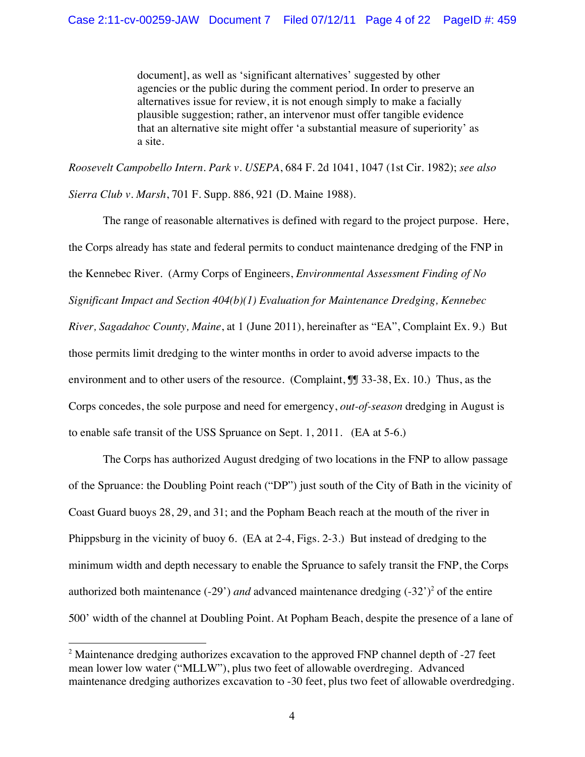document], as well as 'significant alternatives' suggested by other agencies or the public during the comment period. In order to preserve an alternatives issue for review, it is not enough simply to make a facially plausible suggestion; rather, an intervenor must offer tangible evidence that an alternative site might offer 'a substantial measure of superiority' as a site.

*Roosevelt Campobello Intern. Park v. USEPA*, 684 F. 2d 1041, 1047 (1st Cir. 1982); *see also Sierra Club v. Marsh*, 701 F. Supp. 886, 921 (D. Maine 1988).

The range of reasonable alternatives is defined with regard to the project purpose. Here, the Corps already has state and federal permits to conduct maintenance dredging of the FNP in the Kennebec River. (Army Corps of Engineers, *Environmental Assessment Finding of No Significant Impact and Section 404(b)(1) Evaluation for Maintenance Dredging, Kennebec River, Sagadahoc County, Maine*, at 1 (June 2011), hereinafter as "EA", Complaint Ex. 9.) But those permits limit dredging to the winter months in order to avoid adverse impacts to the environment and to other users of the resource. (Complaint,  $\mathbb{I}$  33-38, Ex. 10.) Thus, as the Corps concedes, the sole purpose and need for emergency, *out-of-season* dredging in August is to enable safe transit of the USS Spruance on Sept. 1, 2011. (EA at 5-6.)

The Corps has authorized August dredging of two locations in the FNP to allow passage of the Spruance: the Doubling Point reach ("DP") just south of the City of Bath in the vicinity of Coast Guard buoys 28, 29, and 31; and the Popham Beach reach at the mouth of the river in Phippsburg in the vicinity of buoy 6. (EA at 2-4, Figs. 2-3.) But instead of dredging to the minimum width and depth necessary to enable the Spruance to safely transit the FNP, the Corps authorized both maintenance (-29') *and* advanced maintenance dredging (-32')<sup>2</sup> of the entire 500' width of the channel at Doubling Point. At Popham Beach, despite the presence of a lane of

!!!!!!!!!!!!!!!!!!!!!!!!!!!!!!!!!!!!!!!!!!!!!!!!!!!!!!!

 $2$  Maintenance dredging authorizes excavation to the approved FNP channel depth of  $-27$  feet mean lower low water ("MLLW"), plus two feet of allowable overdreging. Advanced maintenance dredging authorizes excavation to -30 feet, plus two feet of allowable overdredging.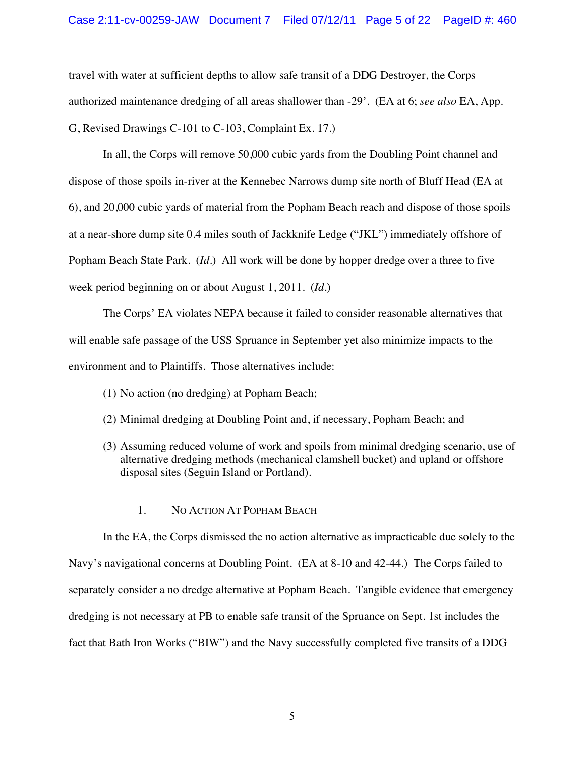travel with water at sufficient depths to allow safe transit of a DDG Destroyer, the Corps authorized maintenance dredging of all areas shallower than -29'. (EA at 6; *see also* EA, App. G, Revised Drawings C-101 to C-103, Complaint Ex. 17.)

In all, the Corps will remove 50,000 cubic yards from the Doubling Point channel and dispose of those spoils in-river at the Kennebec Narrows dump site north of Bluff Head (EA at 6), and 20,000 cubic yards of material from the Popham Beach reach and dispose of those spoils at a near-shore dump site 0.4 miles south of Jackknife Ledge ("JKL") immediately offshore of Popham Beach State Park. (*Id*.) All work will be done by hopper dredge over a three to five week period beginning on or about August 1, 2011. (*Id*.)

The Corps' EA violates NEPA because it failed to consider reasonable alternatives that will enable safe passage of the USS Spruance in September yet also minimize impacts to the environment and to Plaintiffs. Those alternatives include:

- (1) No action (no dredging) at Popham Beach;
- (2) Minimal dredging at Doubling Point and, if necessary, Popham Beach; and
- (3) Assuming reduced volume of work and spoils from minimal dredging scenario, use of alternative dredging methods (mechanical clamshell bucket) and upland or offshore disposal sites (Seguin Island or Portland).
	- 1. NO ACTION AT POPHAM BEACH

In the EA, the Corps dismissed the no action alternative as impracticable due solely to the Navy's navigational concerns at Doubling Point. (EA at 8-10 and 42-44.) The Corps failed to separately consider a no dredge alternative at Popham Beach. Tangible evidence that emergency dredging is not necessary at PB to enable safe transit of the Spruance on Sept. 1st includes the fact that Bath Iron Works ("BIW") and the Navy successfully completed five transits of a DDG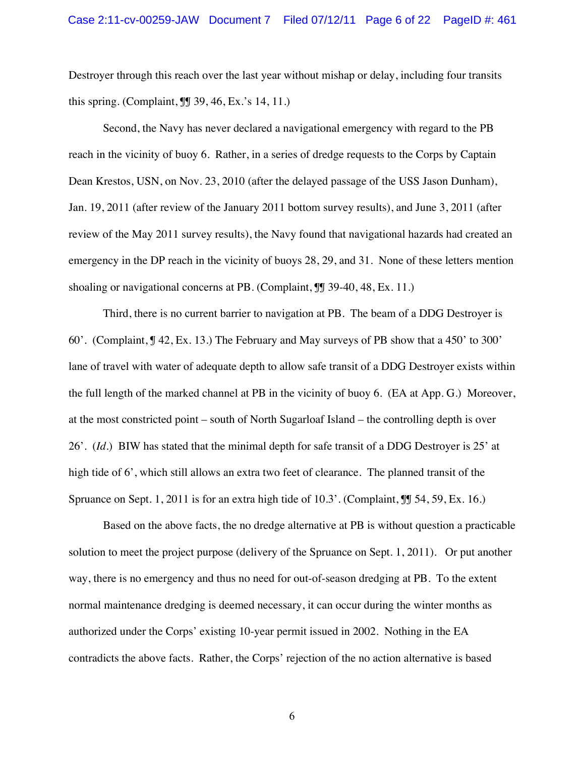Destroyer through this reach over the last year without mishap or delay, including four transits this spring. (Complaint, ¶¶ 39, 46, Ex.'s 14, 11.)

Second, the Navy has never declared a navigational emergency with regard to the PB reach in the vicinity of buoy 6. Rather, in a series of dredge requests to the Corps by Captain Dean Krestos, USN, on Nov. 23, 2010 (after the delayed passage of the USS Jason Dunham), Jan. 19, 2011 (after review of the January 2011 bottom survey results), and June 3, 2011 (after review of the May 2011 survey results), the Navy found that navigational hazards had created an emergency in the DP reach in the vicinity of buoys 28, 29, and 31. None of these letters mention shoaling or navigational concerns at PB. (Complaint,  $\mathbb{J}$  39-40, 48, Ex. 11.)

Third, there is no current barrier to navigation at PB. The beam of a DDG Destroyer is 60'. (Complaint, ¶ 42, Ex. 13.) The February and May surveys of PB show that a 450' to 300' lane of travel with water of adequate depth to allow safe transit of a DDG Destroyer exists within the full length of the marked channel at PB in the vicinity of buoy 6. (EA at App. G.) Moreover, at the most constricted point – south of North Sugarloaf Island – the controlling depth is over 26'. (*Id*.) BIW has stated that the minimal depth for safe transit of a DDG Destroyer is 25' at high tide of 6', which still allows an extra two feet of clearance. The planned transit of the Spruance on Sept. 1, 2011 is for an extra high tide of 10.3'. (Complaint,  $\mathbb{I}$  54, 59, Ex. 16.)

Based on the above facts, the no dredge alternative at PB is without question a practicable solution to meet the project purpose (delivery of the Spruance on Sept. 1, 2011). Or put another way, there is no emergency and thus no need for out-of-season dredging at PB. To the extent normal maintenance dredging is deemed necessary, it can occur during the winter months as authorized under the Corps' existing 10-year permit issued in 2002. Nothing in the EA contradicts the above facts. Rather, the Corps' rejection of the no action alternative is based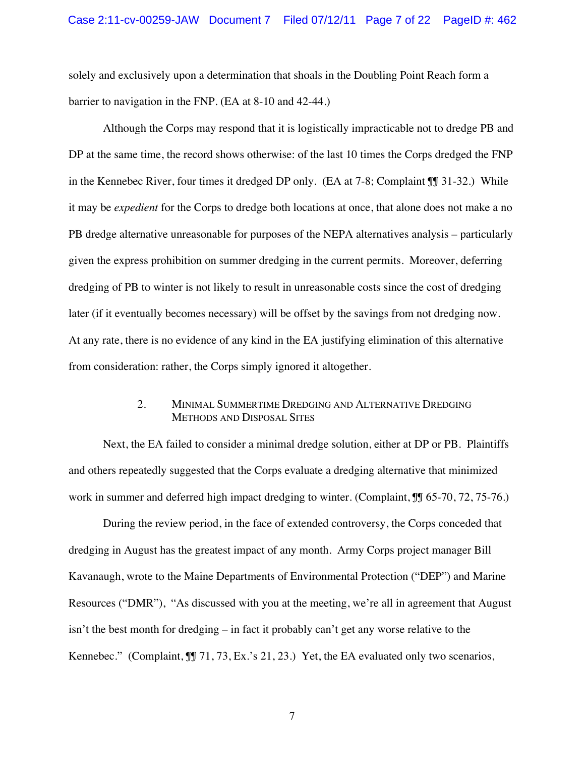solely and exclusively upon a determination that shoals in the Doubling Point Reach form a barrier to navigation in the FNP. (EA at 8-10 and 42-44.)

Although the Corps may respond that it is logistically impracticable not to dredge PB and DP at the same time, the record shows otherwise: of the last 10 times the Corps dredged the FNP in the Kennebec River, four times it dredged DP only. (EA at 7-8; Complaint ¶¶ 31-32.) While it may be *expedient* for the Corps to dredge both locations at once, that alone does not make a no PB dredge alternative unreasonable for purposes of the NEPA alternatives analysis – particularly given the express prohibition on summer dredging in the current permits. Moreover, deferring dredging of PB to winter is not likely to result in unreasonable costs since the cost of dredging later (if it eventually becomes necessary) will be offset by the savings from not dredging now. At any rate, there is no evidence of any kind in the EA justifying elimination of this alternative from consideration: rather, the Corps simply ignored it altogether.

### 2. MINIMAL SUMMERTIME DREDGING AND ALTERNATIVE DREDGING METHODS AND DISPOSAL SITES

Next, the EA failed to consider a minimal dredge solution, either at DP or PB. Plaintiffs and others repeatedly suggested that the Corps evaluate a dredging alternative that minimized work in summer and deferred high impact dredging to winter. (Complaint,  $\mathbb{I}$  65-70, 72, 75-76.)

During the review period, in the face of extended controversy, the Corps conceded that dredging in August has the greatest impact of any month. Army Corps project manager Bill Kavanaugh, wrote to the Maine Departments of Environmental Protection ("DEP") and Marine Resources ("DMR"), "As discussed with you at the meeting, we're all in agreement that August isn't the best month for dredging – in fact it probably can't get any worse relative to the Kennebec." (Complaint,  $\P$ [ 71, 73, Ex.'s 21, 23.) Yet, the EA evaluated only two scenarios,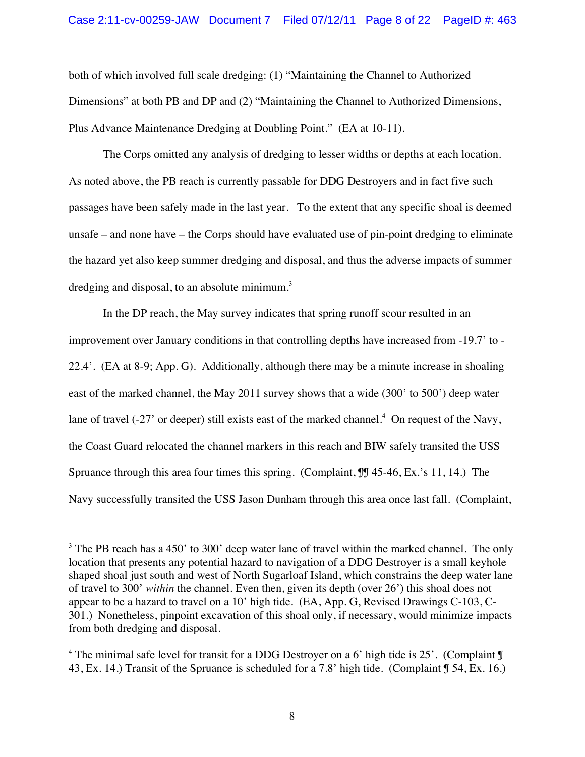both of which involved full scale dredging: (1) "Maintaining the Channel to Authorized Dimensions" at both PB and DP and (2) "Maintaining the Channel to Authorized Dimensions, Plus Advance Maintenance Dredging at Doubling Point." (EA at 10-11).

The Corps omitted any analysis of dredging to lesser widths or depths at each location. As noted above, the PB reach is currently passable for DDG Destroyers and in fact five such passages have been safely made in the last year. To the extent that any specific shoal is deemed unsafe – and none have – the Corps should have evaluated use of pin-point dredging to eliminate the hazard yet also keep summer dredging and disposal, and thus the adverse impacts of summer dredging and disposal, to an absolute minimum.<sup>3</sup>

In the DP reach, the May survey indicates that spring runoff scour resulted in an improvement over January conditions in that controlling depths have increased from -19.7' to - 22.4'. (EA at 8-9; App. G). Additionally, although there may be a minute increase in shoaling east of the marked channel, the May 2011 survey shows that a wide (300' to 500') deep water lane of travel  $(-27)$  or deeper) still exists east of the marked channel.<sup>4</sup> On request of the Navy, the Coast Guard relocated the channel markers in this reach and BIW safely transited the USS Spruance through this area four times this spring. (Complaint,  $\mathbb{J}$  45-46, Ex.'s 11, 14.) The Navy successfully transited the USS Jason Dunham through this area once last fall. (Complaint,

!!!!!!!!!!!!!!!!!!!!!!!!!!!!!!!!!!!!!!!!!!!!!!!!!!!!!!!

 $3$  The PB reach has a 450' to 300' deep water lane of travel within the marked channel. The only location that presents any potential hazard to navigation of a DDG Destroyer is a small keyhole shaped shoal just south and west of North Sugarloaf Island, which constrains the deep water lane of travel to 300' *within* the channel. Even then, given its depth (over 26') this shoal does not appear to be a hazard to travel on a 10' high tide. (EA, App. G, Revised Drawings C-103, C-301.) Nonetheless, pinpoint excavation of this shoal only, if necessary, would minimize impacts from both dredging and disposal.

<sup>&</sup>lt;sup>4</sup> The minimal safe level for transit for a DDG Destroyer on a 6' high tide is 25'. (Complaint  $\mathbb{I}$ 43, Ex. 14.) Transit of the Spruance is scheduled for a 7.8' high tide. (Complaint ¶ 54, Ex. 16.)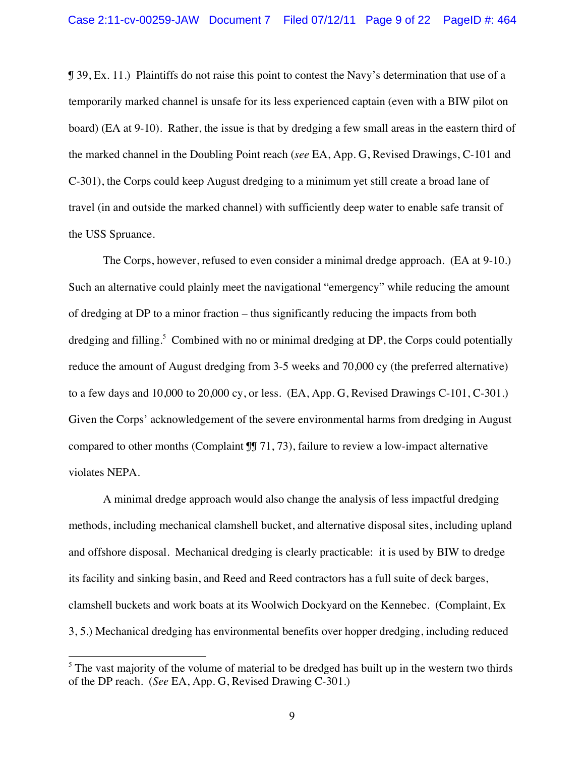¶ 39, Ex. 11.) Plaintiffs do not raise this point to contest the Navy's determination that use of a temporarily marked channel is unsafe for its less experienced captain (even with a BIW pilot on board) (EA at 9-10). Rather, the issue is that by dredging a few small areas in the eastern third of the marked channel in the Doubling Point reach (*see* EA, App. G, Revised Drawings, C-101 and C-301), the Corps could keep August dredging to a minimum yet still create a broad lane of travel (in and outside the marked channel) with sufficiently deep water to enable safe transit of the USS Spruance.

The Corps, however, refused to even consider a minimal dredge approach. (EA at 9-10.) Such an alternative could plainly meet the navigational "emergency" while reducing the amount of dredging at DP to a minor fraction – thus significantly reducing the impacts from both dredging and filling. 5 Combined with no or minimal dredging at DP, the Corps could potentially reduce the amount of August dredging from 3-5 weeks and 70,000 cy (the preferred alternative) to a few days and 10,000 to 20,000 cy, or less. (EA, App. G, Revised Drawings C-101, C-301.) Given the Corps' acknowledgement of the severe environmental harms from dredging in August compared to other months (Complaint ¶¶ 71, 73), failure to review a low-impact alternative violates NEPA.

A minimal dredge approach would also change the analysis of less impactful dredging methods, including mechanical clamshell bucket, and alternative disposal sites, including upland and offshore disposal. Mechanical dredging is clearly practicable: it is used by BIW to dredge its facility and sinking basin, and Reed and Reed contractors has a full suite of deck barges, clamshell buckets and work boats at its Woolwich Dockyard on the Kennebec. (Complaint, Ex 3, 5.) Mechanical dredging has environmental benefits over hopper dredging, including reduced

!!!!!!!!!!!!!!!!!!!!!!!!!!!!!!!!!!!!!!!!!!!!!!!!!!!!!!!

 $<sup>5</sup>$  The vast majority of the volume of material to be dredged has built up in the western two thirds</sup> of the DP reach. (*See* EA, App. G, Revised Drawing C-301.)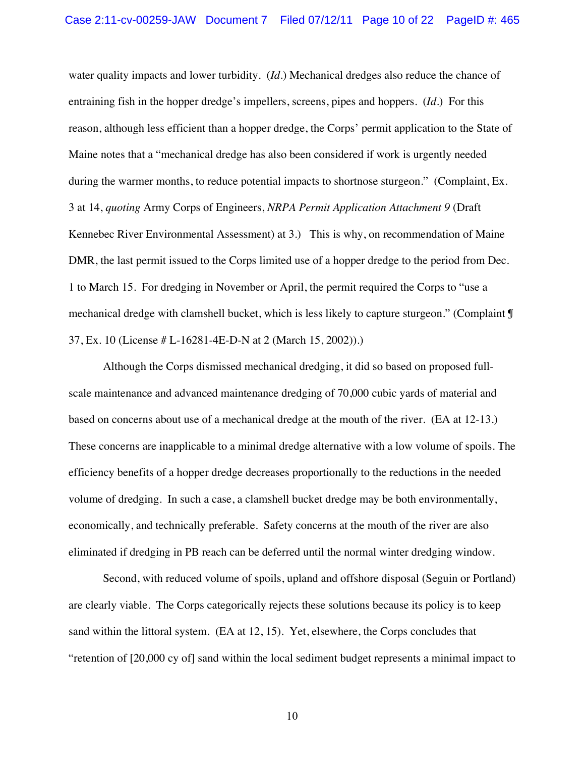water quality impacts and lower turbidity. (*Id*.) Mechanical dredges also reduce the chance of entraining fish in the hopper dredge's impellers, screens, pipes and hoppers. (*Id*.) For this reason, although less efficient than a hopper dredge, the Corps' permit application to the State of Maine notes that a "mechanical dredge has also been considered if work is urgently needed during the warmer months, to reduce potential impacts to shortnose sturgeon." (Complaint, Ex. 3 at 14, *quoting* Army Corps of Engineers, *NRPA Permit Application Attachment 9* (Draft Kennebec River Environmental Assessment) at 3.) This is why, on recommendation of Maine DMR, the last permit issued to the Corps limited use of a hopper dredge to the period from Dec. 1 to March 15. For dredging in November or April, the permit required the Corps to "use a mechanical dredge with clamshell bucket, which is less likely to capture sturgeon." (Complaint ¶ 37, Ex. 10 (License # L-16281-4E-D-N at 2 (March 15, 2002)).)

Although the Corps dismissed mechanical dredging, it did so based on proposed fullscale maintenance and advanced maintenance dredging of 70,000 cubic yards of material and based on concerns about use of a mechanical dredge at the mouth of the river. (EA at 12-13.) These concerns are inapplicable to a minimal dredge alternative with a low volume of spoils. The efficiency benefits of a hopper dredge decreases proportionally to the reductions in the needed volume of dredging. In such a case, a clamshell bucket dredge may be both environmentally, economically, and technically preferable. Safety concerns at the mouth of the river are also eliminated if dredging in PB reach can be deferred until the normal winter dredging window.

Second, with reduced volume of spoils, upland and offshore disposal (Seguin or Portland) are clearly viable. The Corps categorically rejects these solutions because its policy is to keep sand within the littoral system. (EA at 12, 15). Yet, elsewhere, the Corps concludes that "retention of [20,000 cy of] sand within the local sediment budget represents a minimal impact to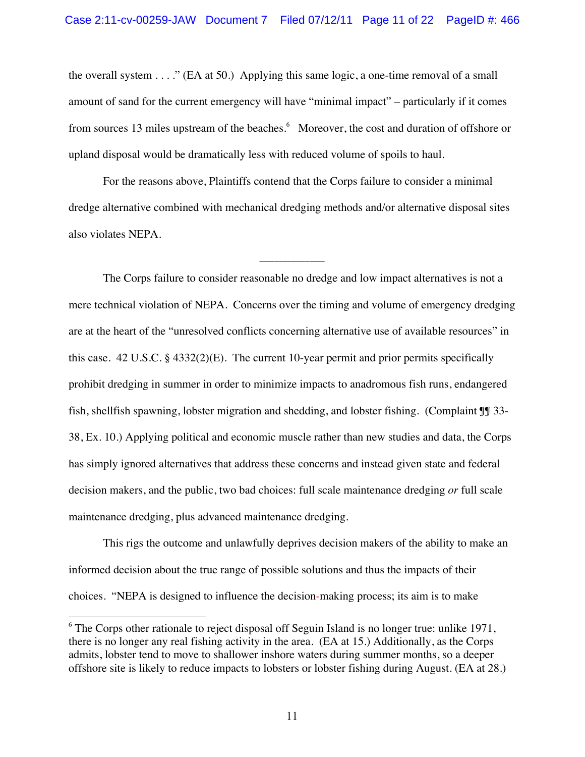the overall system  $\dots$ ." (EA at 50.) Applying this same logic, a one-time removal of a small amount of sand for the current emergency will have "minimal impact" – particularly if it comes from sources 13 miles upstream of the beaches.<sup>6</sup> Moreover, the cost and duration of offshore or upland disposal would be dramatically less with reduced volume of spoils to haul.

For the reasons above, Plaintiffs contend that the Corps failure to consider a minimal dredge alternative combined with mechanical dredging methods and/or alternative disposal sites also violates NEPA.

\_\_\_\_\_\_\_\_\_\_\_\_\_\_\_\_\_

The Corps failure to consider reasonable no dredge and low impact alternatives is not a mere technical violation of NEPA. Concerns over the timing and volume of emergency dredging are at the heart of the "unresolved conflicts concerning alternative use of available resources" in this case. 42 U.S.C. § 4332(2)(E). The current 10-year permit and prior permits specifically prohibit dredging in summer in order to minimize impacts to anadromous fish runs, endangered fish, shellfish spawning, lobster migration and shedding, and lobster fishing. (Complaint ¶¶ 33- 38, Ex. 10.) Applying political and economic muscle rather than new studies and data, the Corps has simply ignored alternatives that address these concerns and instead given state and federal decision makers, and the public, two bad choices: full scale maintenance dredging *or* full scale maintenance dredging, plus advanced maintenance dredging.

This rigs the outcome and unlawfully deprives decision makers of the ability to make an informed decision about the true range of possible solutions and thus the impacts of their choices. "NEPA is designed to influence the decision-making process; its aim is to make

!!!!!!!!!!!!!!!!!!!!!!!!!!!!!!!!!!!!!!!!!!!!!!!!!!!!!!!

 $6$  The Corps other rationale to reject disposal off Seguin Island is no longer true: unlike 1971, there is no longer any real fishing activity in the area. (EA at 15.) Additionally, as the Corps admits, lobster tend to move to shallower inshore waters during summer months, so a deeper offshore site is likely to reduce impacts to lobsters or lobster fishing during August. (EA at 28.)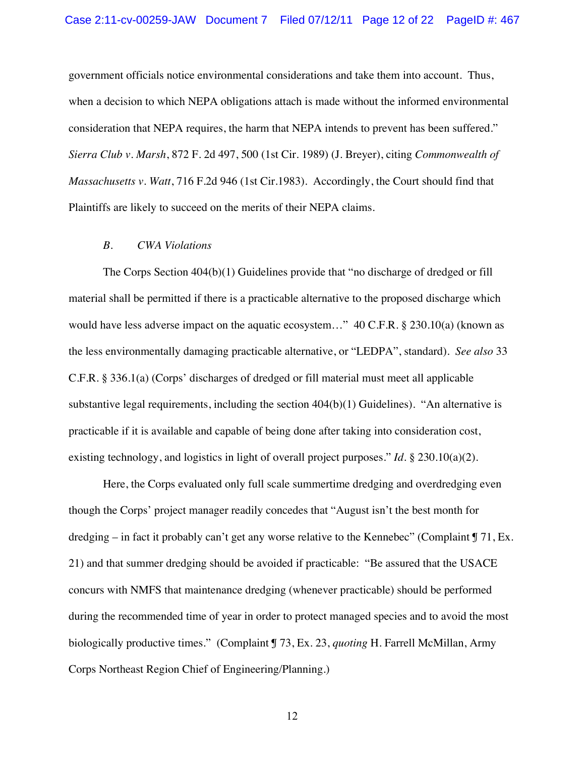government officials notice environmental considerations and take them into account. Thus, when a decision to which NEPA obligations attach is made without the informed environmental consideration that NEPA requires, the harm that NEPA intends to prevent has been suffered." *Sierra Club v. Marsh*, 872 F. 2d 497, 500 (1st Cir. 1989) (J. Breyer), citing *Commonwealth of Massachusetts v. Watt*, 716 F.2d 946 (1st Cir.1983). Accordingly, the Court should find that Plaintiffs are likely to succeed on the merits of their NEPA claims.

#### *B. CWA Violations*

The Corps Section 404(b)(1) Guidelines provide that "no discharge of dredged or fill material shall be permitted if there is a practicable alternative to the proposed discharge which would have less adverse impact on the aquatic ecosystem..." 40 C.F.R. § 230.10(a) (known as the less environmentally damaging practicable alternative, or "LEDPA", standard). *See also* 33 C.F.R. § 336.1(a) (Corps' discharges of dredged or fill material must meet all applicable substantive legal requirements, including the section 404(b)(1) Guidelines). "An alternative is practicable if it is available and capable of being done after taking into consideration cost, existing technology, and logistics in light of overall project purposes." *Id*. § 230.10(a)(2).

Here, the Corps evaluated only full scale summertime dredging and overdredging even though the Corps' project manager readily concedes that "August isn't the best month for dredging – in fact it probably can't get any worse relative to the Kennebec" (Complaint  $\int$  71, Ex. 21) and that summer dredging should be avoided if practicable: "Be assured that the USACE concurs with NMFS that maintenance dredging (whenever practicable) should be performed during the recommended time of year in order to protect managed species and to avoid the most biologically productive times." (Complaint ¶ 73, Ex. 23, *quoting* H. Farrell McMillan, Army Corps Northeast Region Chief of Engineering/Planning.)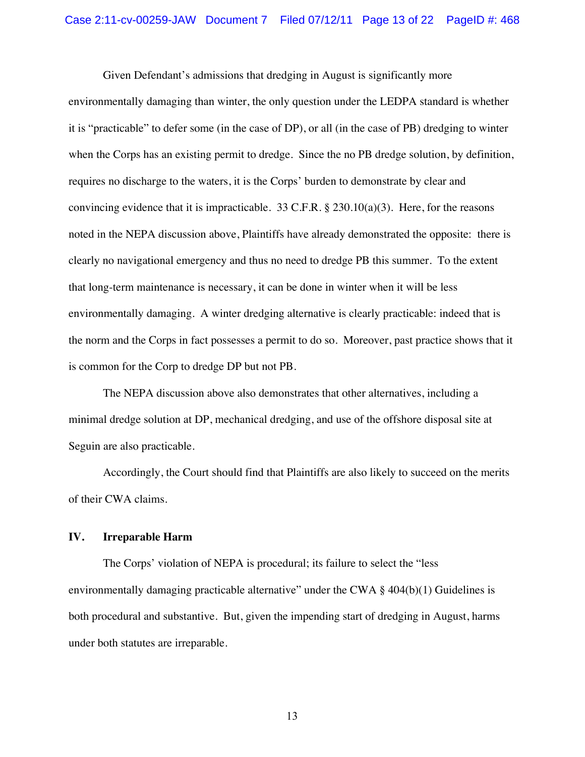Given Defendant's admissions that dredging in August is significantly more environmentally damaging than winter, the only question under the LEDPA standard is whether it is "practicable" to defer some (in the case of DP), or all (in the case of PB) dredging to winter when the Corps has an existing permit to dredge. Since the no PB dredge solution, by definition, requires no discharge to the waters, it is the Corps' burden to demonstrate by clear and convincing evidence that it is impracticable. 33 C.F.R.  $\S$  230.10(a)(3). Here, for the reasons noted in the NEPA discussion above, Plaintiffs have already demonstrated the opposite: there is clearly no navigational emergency and thus no need to dredge PB this summer. To the extent that long-term maintenance is necessary, it can be done in winter when it will be less environmentally damaging. A winter dredging alternative is clearly practicable: indeed that is the norm and the Corps in fact possesses a permit to do so. Moreover, past practice shows that it is common for the Corp to dredge DP but not PB.

The NEPA discussion above also demonstrates that other alternatives, including a minimal dredge solution at DP, mechanical dredging, and use of the offshore disposal site at Seguin are also practicable.

Accordingly, the Court should find that Plaintiffs are also likely to succeed on the merits of their CWA claims.

## **IV. Irreparable Harm**

The Corps' violation of NEPA is procedural; its failure to select the "less environmentally damaging practicable alternative" under the CWA § 404(b)(1) Guidelines is both procedural and substantive. But, given the impending start of dredging in August, harms under both statutes are irreparable.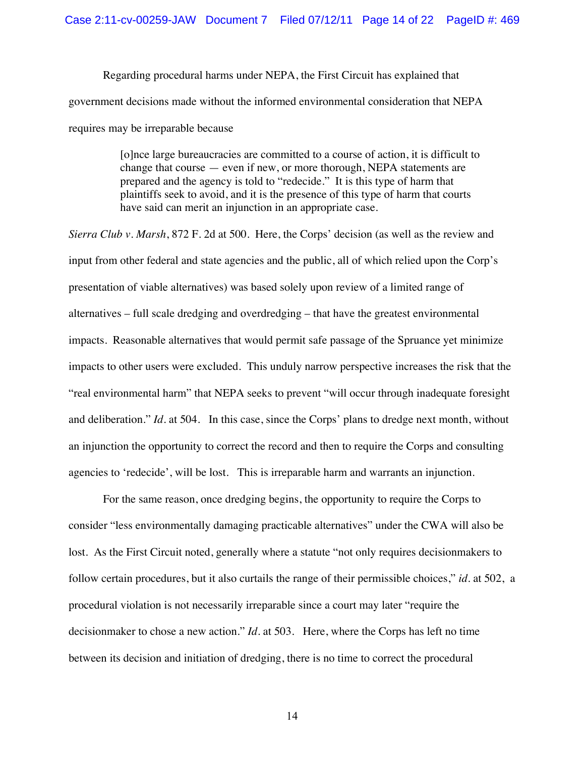Regarding procedural harms under NEPA, the First Circuit has explained that government decisions made without the informed environmental consideration that NEPA requires may be irreparable because

> [o]nce large bureaucracies are committed to a course of action, it is difficult to change that course — even if new, or more thorough, NEPA statements are prepared and the agency is told to "redecide." It is this type of harm that plaintiffs seek to avoid, and it is the presence of this type of harm that courts have said can merit an injunction in an appropriate case.

*Sierra Club v. Marsh*, 872 F. 2d at 500. Here, the Corps' decision (as well as the review and input from other federal and state agencies and the public, all of which relied upon the Corp's presentation of viable alternatives) was based solely upon review of a limited range of alternatives – full scale dredging and overdredging – that have the greatest environmental impacts. Reasonable alternatives that would permit safe passage of the Spruance yet minimize impacts to other users were excluded. This unduly narrow perspective increases the risk that the "real environmental harm" that NEPA seeks to prevent "will occur through inadequate foresight and deliberation." *Id*. at 504. In this case, since the Corps' plans to dredge next month, without an injunction the opportunity to correct the record and then to require the Corps and consulting agencies to 'redecide', will be lost. This is irreparable harm and warrants an injunction.

For the same reason, once dredging begins, the opportunity to require the Corps to consider "less environmentally damaging practicable alternatives" under the CWA will also be lost. As the First Circuit noted, generally where a statute "not only requires decisionmakers to follow certain procedures, but it also curtails the range of their permissible choices," *id*. at 502, a procedural violation is not necessarily irreparable since a court may later "require the decisionmaker to chose a new action." *Id*. at 503. Here, where the Corps has left no time between its decision and initiation of dredging, there is no time to correct the procedural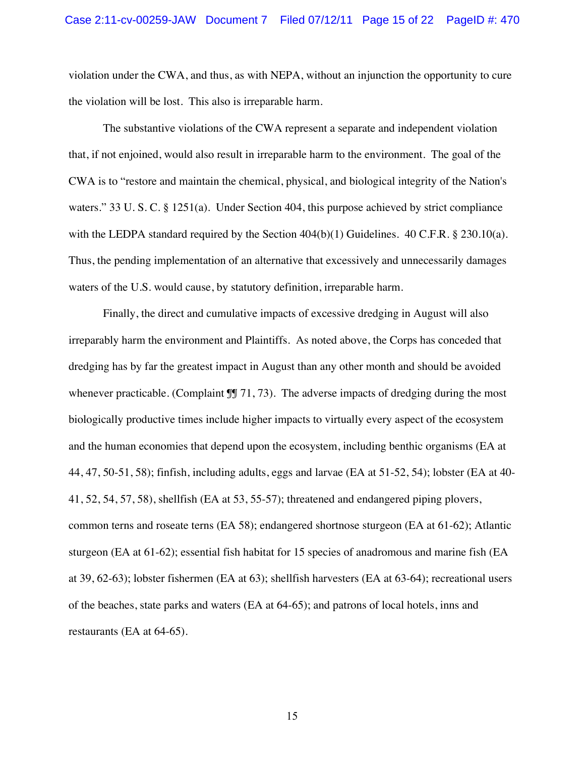violation under the CWA, and thus, as with NEPA, without an injunction the opportunity to cure the violation will be lost. This also is irreparable harm.

The substantive violations of the CWA represent a separate and independent violation that, if not enjoined, would also result in irreparable harm to the environment. The goal of the CWA is to "restore and maintain the chemical, physical, and biological integrity of the Nation's waters." 33 U. S. C. § 1251(a). Under Section 404, this purpose achieved by strict compliance with the LEDPA standard required by the Section  $404(b)(1)$  Guidelines.  $40$  C.F.R. § 230.10(a). Thus, the pending implementation of an alternative that excessively and unnecessarily damages waters of the U.S. would cause, by statutory definition, irreparable harm.

Finally, the direct and cumulative impacts of excessive dredging in August will also irreparably harm the environment and Plaintiffs. As noted above, the Corps has conceded that dredging has by far the greatest impact in August than any other month and should be avoided whenever practicable. (Complaint  $\mathbb{II}$  71, 73). The adverse impacts of dredging during the most biologically productive times include higher impacts to virtually every aspect of the ecosystem and the human economies that depend upon the ecosystem, including benthic organisms (EA at 44, 47, 50-51, 58); finfish, including adults, eggs and larvae (EA at 51-52, 54); lobster (EA at 40- 41, 52, 54, 57, 58), shellfish (EA at 53, 55-57); threatened and endangered piping plovers, common terns and roseate terns (EA 58); endangered shortnose sturgeon (EA at 61-62); Atlantic sturgeon (EA at 61-62); essential fish habitat for 15 species of anadromous and marine fish (EA at 39, 62-63); lobster fishermen (EA at 63); shellfish harvesters (EA at 63-64); recreational users of the beaches, state parks and waters (EA at 64-65); and patrons of local hotels, inns and restaurants (EA at 64-65).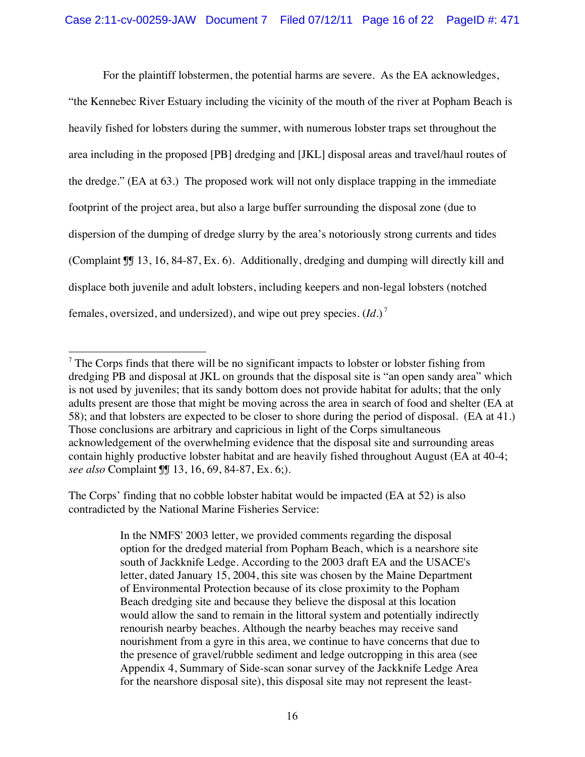For the plaintiff lobstermen, the potential harms are severe. As the EA acknowledges,

"the Kennebec River Estuary including the vicinity of the mouth of the river at Popham Beach is heavily fished for lobsters during the summer, with numerous lobster traps set throughout the area including in the proposed [PB] dredging and [JKL] disposal areas and travel/haul routes of the dredge." (EA at 63.) The proposed work will not only displace trapping in the immediate footprint of the project area, but also a large buffer surrounding the disposal zone (due to dispersion of the dumping of dredge slurry by the area's notoriously strong currents and tides (Complaint ¶¶ 13, 16, 84-87, Ex. 6). Additionally, dredging and dumping will directly kill and displace both juvenile and adult lobsters, including keepers and non-legal lobsters (notched females, oversized, and undersized), and wipe out prey species. (*Id*.) <sup>7</sup>

The Corps' finding that no cobble lobster habitat would be impacted (EA at 52) is also contradicted by the National Marine Fisheries Service:

> In the NMFS' 2003 letter, we provided comments regarding the disposal option for the dredged material from Popham Beach, which is a nearshore site south of Jackknife Ledge. According to the 2003 draft EA and the USACE's letter, dated January 15, 2004, this site was chosen by the Maine Department of Environmental Protection because of its close proximity to the Popham Beach dredging site and because they believe the disposal at this location would allow the sand to remain in the littoral system and potentially indirectly renourish nearby beaches. Although the nearby beaches may receive sand nourishment from a gyre in this area, we continue to have concerns that due to the presence of gravel/rubble sediment and ledge outcropping in this area (see Appendix 4, Summary of Side-scan sonar survey of the Jackknife Ledge Area for the nearshore disposal site), this disposal site may not represent the least-

<sup>!!!!!!!!!!!!!!!!!!!!!!!!!!!!!!!!!!!!!!!!!!!!!!!!!!!!!!!</sup>  $7$  The Corps finds that there will be no significant impacts to lobster or lobster fishing from dredging PB and disposal at JKL on grounds that the disposal site is "an open sandy area" which is not used by juveniles; that its sandy bottom does not provide habitat for adults; that the only adults present are those that might be moving across the area in search of food and shelter (EA at 58); and that lobsters are expected to be closer to shore during the period of disposal. (EA at 41.) Those conclusions are arbitrary and capricious in light of the Corps simultaneous acknowledgement of the overwhelming evidence that the disposal site and surrounding areas contain highly productive lobster habitat and are heavily fished throughout August (EA at 40-4; *see also* Complaint ¶¶ 13, 16, 69, 84-87, Ex. 6;).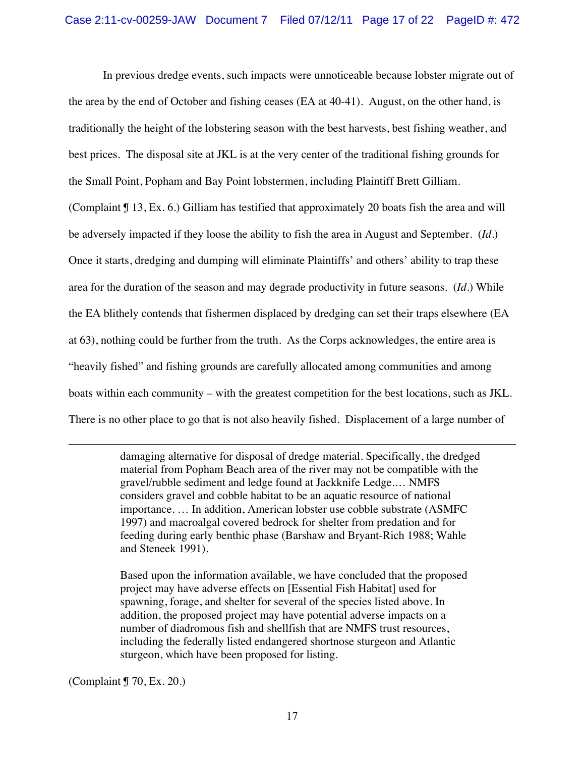In previous dredge events, such impacts were unnoticeable because lobster migrate out of the area by the end of October and fishing ceases (EA at 40-41). August, on the other hand, is traditionally the height of the lobstering season with the best harvests, best fishing weather, and best prices. The disposal site at JKL is at the very center of the traditional fishing grounds for the Small Point, Popham and Bay Point lobstermen, including Plaintiff Brett Gilliam. (Complaint ¶ 13, Ex. 6.) Gilliam has testified that approximately 20 boats fish the area and will be adversely impacted if they loose the ability to fish the area in August and September. (*Id*.) Once it starts, dredging and dumping will eliminate Plaintiffs' and others' ability to trap these

area for the duration of the season and may degrade productivity in future seasons. (*Id*.) While

the EA blithely contends that fishermen displaced by dredging can set their traps elsewhere (EA

at 63), nothing could be further from the truth. As the Corps acknowledges, the entire area is

"heavily fished" and fishing grounds are carefully allocated among communities and among

boats within each community – with the greatest competition for the best locations, such as JKL.

There is no other place to go that is not also heavily fished. Displacement of a large number of

!!!!!!!!!!!!!!!!!!!!!!!!!!!!!!!!!!!!!!!!!!!!!!!!!!!!!!!!!!!!!!!!!!!!!!!!!!!!!!!!!!!!!!!!!!!!!!!!!!!!!!!!!!!!!!!!!!!!!!!!!!!!!!!!!!!!!!!!!!!!!!!!!!!!!!!!!!!!!!!!!!!!!!!!!!!!!!!!!!

damaging alternative for disposal of dredge material. Specifically, the dredged material from Popham Beach area of the river may not be compatible with the gravel/rubble sediment and ledge found at Jackknife Ledge.… NMFS considers gravel and cobble habitat to be an aquatic resource of national importance. … In addition, American lobster use cobble substrate (ASMFC 1997) and macroalgal covered bedrock for shelter from predation and for feeding during early benthic phase (Barshaw and Bryant-Rich 1988; Wahle and Steneek 1991).

Based upon the information available, we have concluded that the proposed project may have adverse effects on [Essential Fish Habitat] used for spawning, forage, and shelter for several of the species listed above. In addition, the proposed project may have potential adverse impacts on a number of diadromous fish and shellfish that are NMFS trust resources, including the federally listed endangered shortnose sturgeon and Atlantic sturgeon, which have been proposed for listing.

(Complaint ¶ 70, Ex. 20.)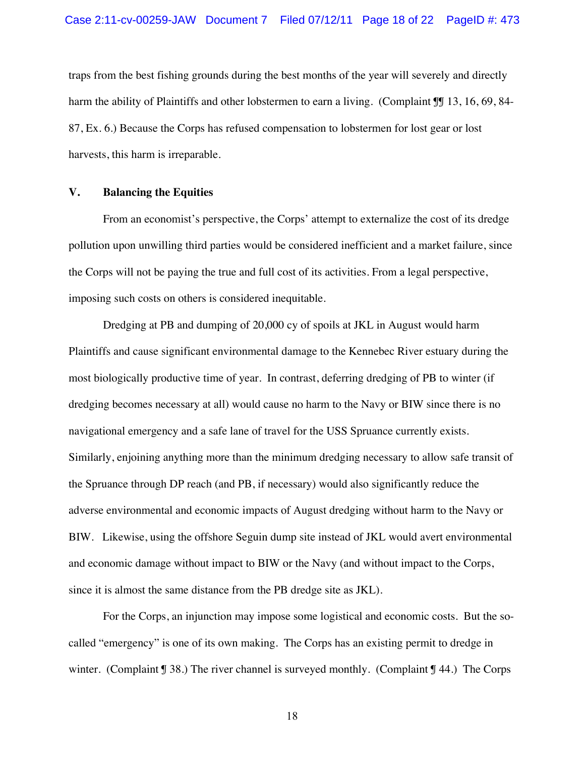traps from the best fishing grounds during the best months of the year will severely and directly harm the ability of Plaintiffs and other lobstermen to earn a living. (Complaint II 13, 16, 69, 84-87, Ex. 6.) Because the Corps has refused compensation to lobstermen for lost gear or lost harvests, this harm is irreparable.

#### **V. Balancing the Equities**

From an economist's perspective, the Corps' attempt to externalize the cost of its dredge pollution upon unwilling third parties would be considered inefficient and a market failure, since the Corps will not be paying the true and full cost of its activities. From a legal perspective, imposing such costs on others is considered inequitable.

Dredging at PB and dumping of 20,000 cy of spoils at JKL in August would harm Plaintiffs and cause significant environmental damage to the Kennebec River estuary during the most biologically productive time of year. In contrast, deferring dredging of PB to winter (if dredging becomes necessary at all) would cause no harm to the Navy or BIW since there is no navigational emergency and a safe lane of travel for the USS Spruance currently exists. Similarly, enjoining anything more than the minimum dredging necessary to allow safe transit of the Spruance through DP reach (and PB, if necessary) would also significantly reduce the adverse environmental and economic impacts of August dredging without harm to the Navy or BIW. Likewise, using the offshore Seguin dump site instead of JKL would avert environmental and economic damage without impact to BIW or the Navy (and without impact to the Corps, since it is almost the same distance from the PB dredge site as JKL).

For the Corps, an injunction may impose some logistical and economic costs. But the socalled "emergency" is one of its own making. The Corps has an existing permit to dredge in winter. (Complaint  $\sqrt{38}$ .) The river channel is surveyed monthly. (Complaint  $\sqrt{34}$ .) The Corps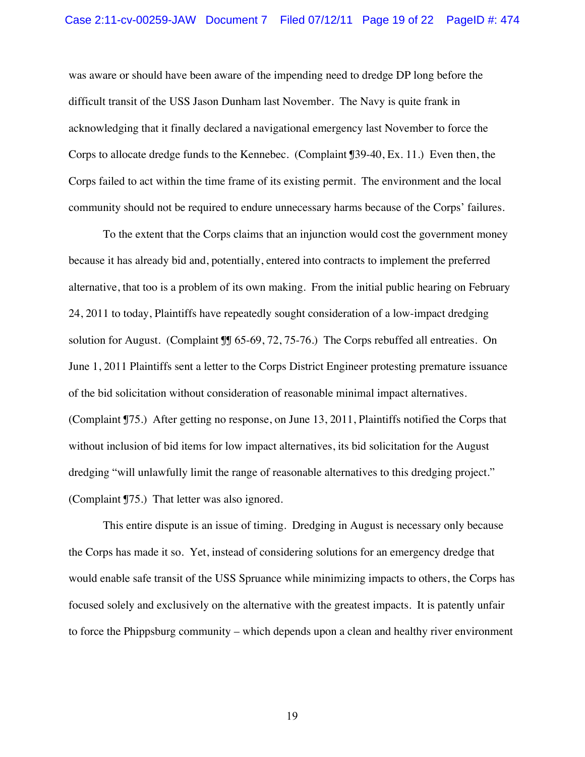was aware or should have been aware of the impending need to dredge DP long before the difficult transit of the USS Jason Dunham last November. The Navy is quite frank in acknowledging that it finally declared a navigational emergency last November to force the Corps to allocate dredge funds to the Kennebec. (Complaint ¶39-40, Ex. 11.) Even then, the Corps failed to act within the time frame of its existing permit. The environment and the local community should not be required to endure unnecessary harms because of the Corps' failures.

To the extent that the Corps claims that an injunction would cost the government money because it has already bid and, potentially, entered into contracts to implement the preferred alternative, that too is a problem of its own making. From the initial public hearing on February 24, 2011 to today, Plaintiffs have repeatedly sought consideration of a low-impact dredging solution for August. (Complaint ¶¶ 65-69, 72, 75-76.) The Corps rebuffed all entreaties. On June 1, 2011 Plaintiffs sent a letter to the Corps District Engineer protesting premature issuance of the bid solicitation without consideration of reasonable minimal impact alternatives. (Complaint ¶75.) After getting no response, on June 13, 2011, Plaintiffs notified the Corps that without inclusion of bid items for low impact alternatives, its bid solicitation for the August dredging "will unlawfully limit the range of reasonable alternatives to this dredging project." (Complaint ¶75.) That letter was also ignored.

This entire dispute is an issue of timing. Dredging in August is necessary only because the Corps has made it so. Yet, instead of considering solutions for an emergency dredge that would enable safe transit of the USS Spruance while minimizing impacts to others, the Corps has focused solely and exclusively on the alternative with the greatest impacts. It is patently unfair to force the Phippsburg community – which depends upon a clean and healthy river environment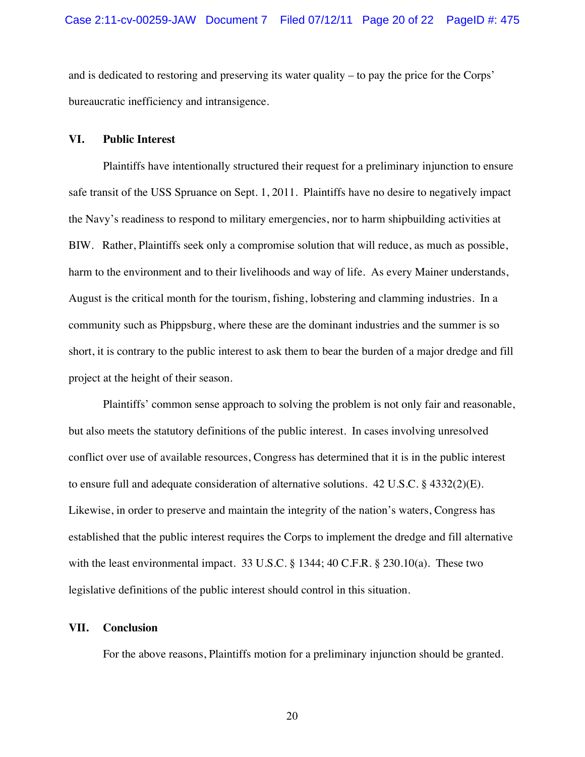and is dedicated to restoring and preserving its water quality – to pay the price for the Corps' bureaucratic inefficiency and intransigence.

#### **VI. Public Interest**

Plaintiffs have intentionally structured their request for a preliminary injunction to ensure safe transit of the USS Spruance on Sept. 1, 2011. Plaintiffs have no desire to negatively impact the Navy's readiness to respond to military emergencies, nor to harm shipbuilding activities at BIW. Rather, Plaintiffs seek only a compromise solution that will reduce, as much as possible, harm to the environment and to their livelihoods and way of life. As every Mainer understands, August is the critical month for the tourism, fishing, lobstering and clamming industries. In a community such as Phippsburg, where these are the dominant industries and the summer is so short, it is contrary to the public interest to ask them to bear the burden of a major dredge and fill project at the height of their season.

Plaintiffs' common sense approach to solving the problem is not only fair and reasonable, but also meets the statutory definitions of the public interest. In cases involving unresolved conflict over use of available resources, Congress has determined that it is in the public interest to ensure full and adequate consideration of alternative solutions. 42 U.S.C. § 4332(2)(E). Likewise, in order to preserve and maintain the integrity of the nation's waters, Congress has established that the public interest requires the Corps to implement the dredge and fill alternative with the least environmental impact. 33 U.S.C. § 1344; 40 C.F.R. § 230.10(a). These two legislative definitions of the public interest should control in this situation.

#### **VII. Conclusion**

For the above reasons, Plaintiffs motion for a preliminary injunction should be granted.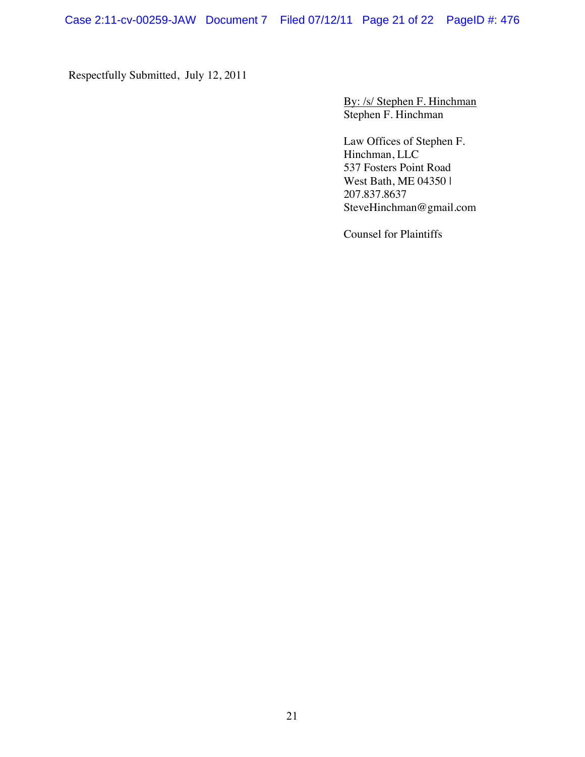Respectfully Submitted, July 12, 2011

By: /s/ Stephen F. Hinchman Stephen F. Hinchman

Law Offices of Stephen F. Hinchman, LLC 537 Fosters Point Road West Bath, ME 04350 | 207.837.8637 SteveHinchman@gmail.com

Counsel for Plaintiffs